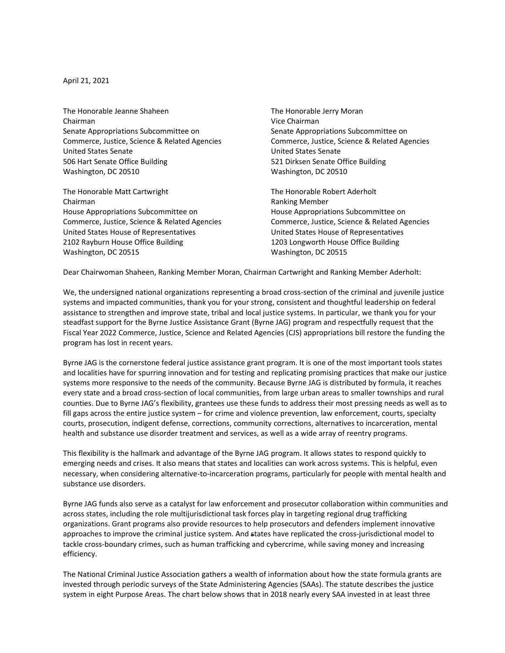April 21, 2021

The Honorable Jeanne Shaheen The Honorable Jerry Moran Chairman Vice Chairman Senate Appropriations Subcommittee on Senate Appropriations Subcommittee on United States Senate United States Senate 506 Hart Senate Office Building 521 Dirksen Senate Office Building Washington, DC 20510 Washington, DC 20510

The Honorable Matt Cartwright The Honorable Robert Aderholt Chairman **Chairman** Chairman Chairman Chairman **Ranking Member** House Appropriations Subcommittee on House Appropriations Subcommittee on Commerce, Justice, Science & Related Agencies Commerce, Justice, Science & Related Agencies United States House of Representatives United States House of Representatives 2102 Rayburn House Office Building 1203 Longworth House Office Building Washington, DC 20515 Washington, DC 20515

Commerce, Justice, Science & Related Agencies Commerce, Justice, Science & Related Agencies

Dear Chairwoman Shaheen, Ranking Member Moran, Chairman Cartwright and Ranking Member Aderholt:

We, the undersigned national organizations representing a broad cross-section of the criminal and juvenile justice systems and impacted communities, thank you for your strong, consistent and thoughtful leadership on federal assistance to strengthen and improve state, tribal and local justice systems. In particular, we thank you for your steadfast support for the Byrne Justice Assistance Grant (Byrne JAG) program and respectfully request that the Fiscal Year 2022 Commerce, Justice, Science and Related Agencies (CJS) appropriations bill restore the funding the program has lost in recent years.

Byrne JAG is the cornerstone federal justice assistance grant program. It is one of the most important tools states and localities have for spurring innovation and for testing and replicating promising practices that make our justice systems more responsive to the needs of the community. Because Byrne JAG is distributed by formula, it reaches every state and a broad cross-section of local communities, from large urban areas to smaller townships and rural counties. Due to Byrne JAG's flexibility, grantees use these funds to address their most pressing needs as well as to fill gaps across the entire justice system – for crime and violence prevention, law enforcement, courts, specialty courts, prosecution, indigent defense, corrections, community corrections, alternatives to incarceration, mental health and substance use disorder treatment and services, as well as a wide array of reentry programs.

This flexibility is the hallmark and advantage of the Byrne JAG program. It allows states to respond quickly to emerging needs and crises. It also means that states and localities can work across systems. This is helpful, even necessary, when considering alternative-to-incarceration programs, particularly for people with mental health and substance use disorders.

Byrne JAG funds also serve as a catalyst for law enforcement and prosecutor collaboration within communities and across states, including the role multijurisdictional task forces play in targeting regional drug trafficking organizations. Grant programs also provide resources to help prosecutors and defenders implement innovative approaches to improve the criminal justice system. And states have replicated the cross-jurisdictional model to tackle cross-boundary crimes, such as human trafficking and cybercrime, while saving money and increasing efficiency.

The National Criminal Justice Association gathers a wealth of information about how the state formula grants are invested through periodic surveys of the State Administering Agencies (SAAs). The statute describes the justice system in eight Purpose Areas. The chart below shows that in 2018 nearly every SAA invested in at least three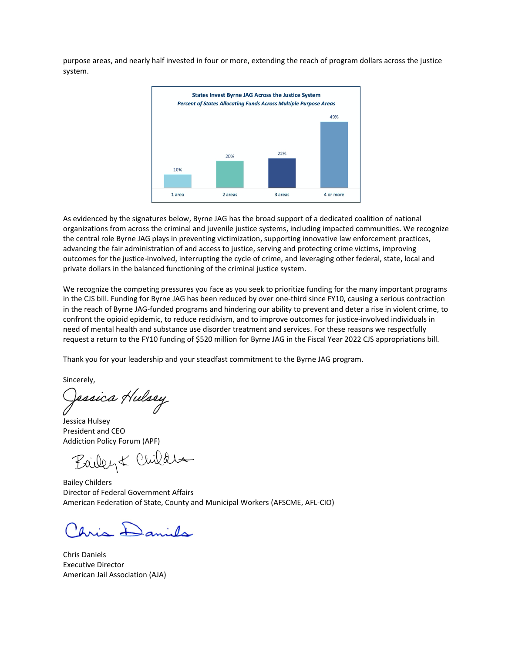purpose areas, and nearly half invested in four or more, extending the reach of program dollars across the justice system.



As evidenced by the signatures below, Byrne JAG has the broad support of a dedicated coalition of national organizations from across the criminal and juvenile justice systems, including impacted communities. We recognize the central role Byrne JAG plays in preventing victimization, supporting innovative law enforcement practices, advancing the fair administration of and access to justice, serving and protecting crime victims, improving outcomes for the justice-involved, interrupting the cycle of crime, and leveraging other federal, state, local and private dollars in the balanced functioning of the criminal justice system.

We recognize the competing pressures you face as you seek to prioritize funding for the many important programs in the CJS bill. Funding for Byrne JAG has been reduced by over one-third since FY10, causing a serious contraction in the reach of Byrne JAG-funded programs and hindering our ability to prevent and deter a rise in violent crime, to confront the opioid epidemic, to reduce recidivism, and to improve outcomes for justice-involved individuals in need of mental health and substance use disorder treatment and services. For these reasons we respectfully request a return to the FY10 funding of \$520 million for Byrne JAG in the Fiscal Year 2022 CJS appropriations bill.

Thank you for your leadership and your steadfast commitment to the Byrne JAG program.

sincerely,<br>Qe*ssica Hulsey* 

Jessica Hulsey President and CEO Addiction Policy Forum (APF)

Bailey & Childre

Bailey Childers Director of Federal Government Affairs American Federation of State, County and Municipal Workers (AFSCME, AFL-CIO)

Aris Daniels

Chris Daniels Executive Director American Jail Association (AJA)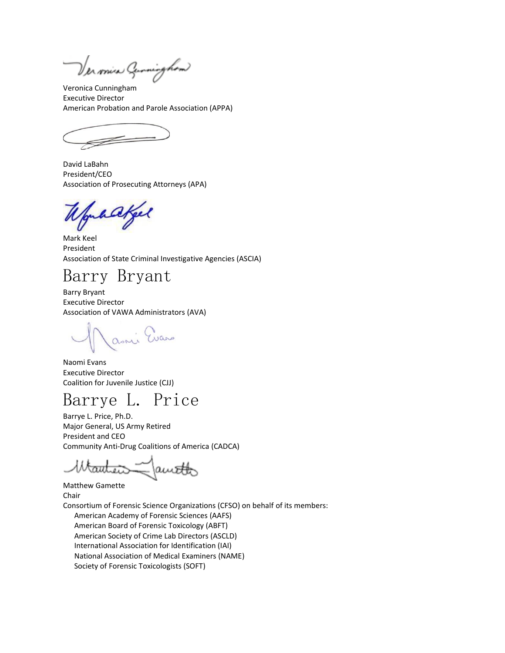Ver miss Gunninghow

Veronica Cunningham Executive Director American Probation and Parole Association (APPA)

David LaBahn President/CEO Association of Prosecuting Attorneys (APA)

hakel

Mark Keel President Association of State Criminal Investigative Agencies (ASCIA)

Barry Bryant

Barry Bryant Executive Director Association of VAWA Administrators (AVA)

asni Evans

Naomi Evans Executive Director Coalition for Juvenile Justice (CJJ)

## Barrye L. Price

Barrye L. Price, Ph.D. Major General, US Army Retired President and CEO Community Anti-Drug Coalitions of America (CADCA)

W<del>autei</del>s  $\leq$  auto

Matthew Gamette Chair

Consortium of Forensic Science Organizations (CFSO) on behalf of its members: American Academy of Forensic Sciences (AAFS) American Board of Forensic Toxicology (ABFT) American Society of Crime Lab Directors (ASCLD) International Association for Identification (IAI) National Association of Medical Examiners (NAME) Society of Forensic Toxicologists (SOFT)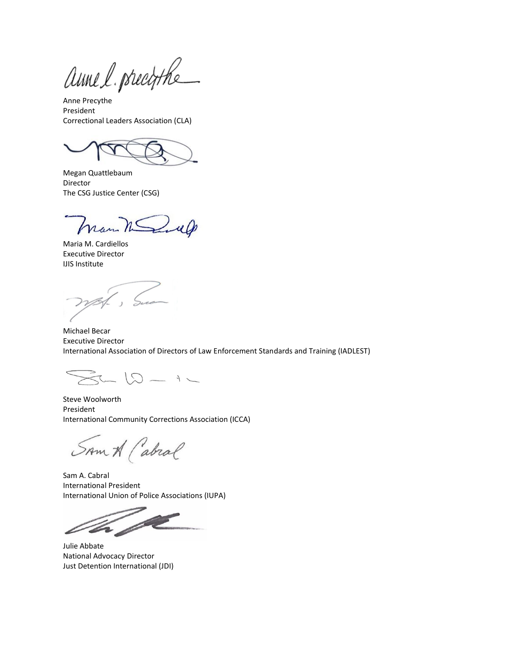anne l. precistre

Anne Precythe President Correctional Leaders Association (CLA)

Megan Quattlebaum Director The CSG Justice Center (CSG)

man March

Maria M. Cardiellos Executive Director IJIS Institute

', Sue

Michael Becar Executive Director International Association of Directors of Law Enforcement Standards and Training (IADLEST)

 $-12 - 12$ 

Steve Woolworth President International Community Corrections Association (ICCA)

SAM A (abral

Sam A. Cabral International President International Union of Police Associations (IUPA)

F

Julie Abbate National Advocacy Director Just Detention International (JDI)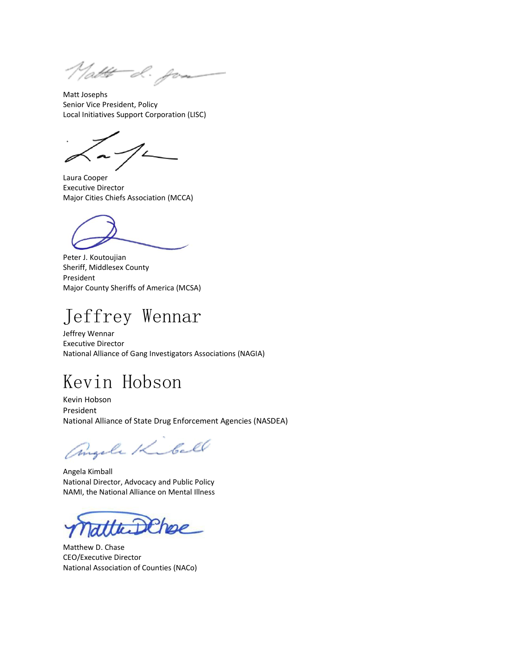Natt d. for

Matt Josephs Senior Vice President, Policy Local Initiatives Support Corporation (LISC)

Laura Cooper Executive Director Major Cities Chiefs Association (MCCA)

Peter J. Koutoujian Sheriff, Middlesex County President Major County Sheriffs of America (MCSA)

## Jeffrey Wennar

Jeffrey Wennar Executive Director National Alliance of Gang Investigators Associations (NAGIA)

## Kevin Hobson

Kevin Hobson President National Alliance of State Drug Enforcement Agencies (NASDEA)

angele Kibell

Angela Kimball National Director, Advocacy and Public Policy NAMI, the National Alliance on Mental Illness

Matthew D. Chase CEO/Executive Director National Association of Counties (NACo)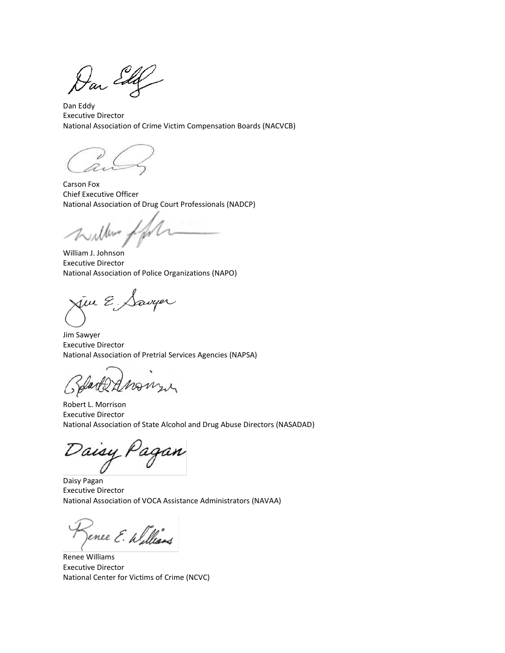Dan Edg

Dan Eddy Executive Director National Association of Crime Victim Compensation Boards (NACVCB)

Carson Fox Chief Executive Officer National Association of Drug Court Professionals (NADCP)

live,

William J. Johnson Executive Director National Association of Police Organizations (NAPO)

jin E.,

Jim Sawyer Executive Director National Association of Pretrial Services Agencies (NAPSA)

Robert L. Morrison Executive Director National Association of State Alcohol and Drug Abuse Directors (NASADAD)

aisy Pagan

Daisy Pagan Executive Director National Association of VOCA Assistance Administrators (NAVAA)

ence E. Williams

Renee Williams Executive Director National Center for Victims of Crime (NCVC)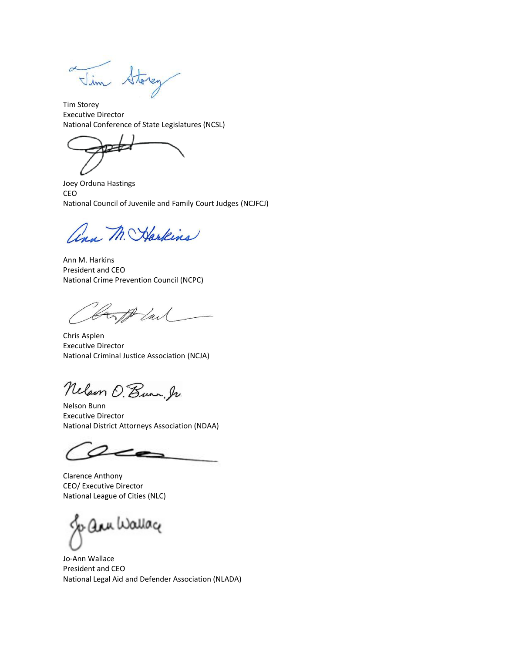Vim Storey  $\alpha$ 

Tim Storey Executive Director National Conference of State Legislatures (NCSL)

Joey Orduna Hastings CEO National Council of Juvenile and Family Court Judges (NCJFCJ)

ann M. Harkins

Ann M. Harkins President and CEO National Crime Prevention Council (NCPC)

Cont lail

Chris Asplen Executive Director National Criminal Justice Association (NCJA)

Nelson O. Bunn, Ir.

Nelson Bunn Executive Director National District Attorneys Association (NDAA)

Clarence Anthony CEO/ Executive Director National League of Cities (NLC)

ann Wallag

Jo-Ann Wallace President and CEO National Legal Aid and Defender Association (NLADA)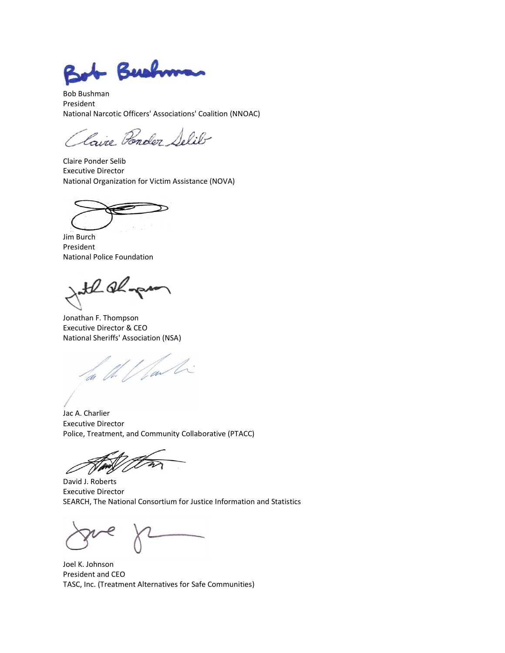+ Bushman

Bob Bushman President National Narcotic Officers' Associations' Coalition (NNOAC)

Laire Ponder Selib

Claire Ponder Selib Executive Director National Organization for Victim Assistance (NOVA)

 $\equiv$ 

Jim Burch President National Police Foundation

the algam

Jonathan F. Thompson Executive Director & CEO National Sheriffs' Association (NSA)

1. */ far li* 

Jac A. Charlier Executive Director Police, Treatment, and Community Collaborative (PTACC)

David J. Roberts Executive Director SEARCH, The National Consortium for Justice Information and Statistics

Joel K. Johnson President and CEO TASC, Inc. (Treatment Alternatives for Safe Communities)